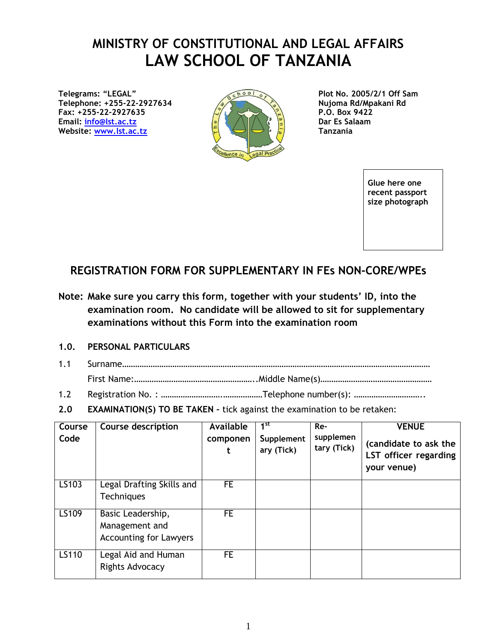## **MINISTRY OF CONSTITUTIONAL AND LEGAL AFFAIRS LAW SCHOOL OF TANZANIA**

**Telegrams: "LEGAL" Telephone: +255-22-2927634 Fax: +255-22-2927635 P.O. Box 9422 Email: [info@lst.ac.tz](mailto:info@lst.ac.tz) Dar Es Salaam Website:** [www.lst.ac.tz](http://www.lst.ac.tz/)  $\begin{bmatrix} \frac{1}{2} & \frac{1}{2} \\ \frac{1}{2} & \frac{1}{2} \end{bmatrix}$  **Tanzania** 



**Plot No. 2005/2/1 Off Sam Nujoma Rd/Mpakani Rd**

> **Glue here one recent passport size photograph**

## **REGISTRATION FORM FOR SUPPLEMENTARY IN FEs NON-CORE/WPEs**

**Note: Make sure you carry this form, together with your students' ID, into the examination room. No candidate will be allowed to sit for supplementary examinations without this Form into the examination room**

## **1.0. PERSONAL PARTICULARS**

- 1.1 Surname…………………………………………………………………………………………………………………………… First Name:………………………………………………..Middle Name(s)……………………………………………
- 1.2 Registration No. : ……………………….………………Telephone number(s): …………………………..
- **2.0 EXAMINATION(S) TO BE TAKEN –** tick against the examination to be retaken:

| Course<br>Code | Course description                                                   | Available<br>componen | $1^{\rm st}$<br>Supplement<br>ary (Tick) | Re-<br>supplemen<br>tary (Tick) | <b>VENUE</b><br>(candidate to ask the<br>LST officer regarding<br>your venue) |
|----------------|----------------------------------------------------------------------|-----------------------|------------------------------------------|---------------------------------|-------------------------------------------------------------------------------|
| LS103          | Legal Drafting Skills and<br><b>Techniques</b>                       | FE.                   |                                          |                                 |                                                                               |
| LS109          | Basic Leadership,<br>Management and<br><b>Accounting for Lawyers</b> | FE.                   |                                          |                                 |                                                                               |
| LS110          | Legal Aid and Human<br>Rights Advocacy                               | FE.                   |                                          |                                 |                                                                               |